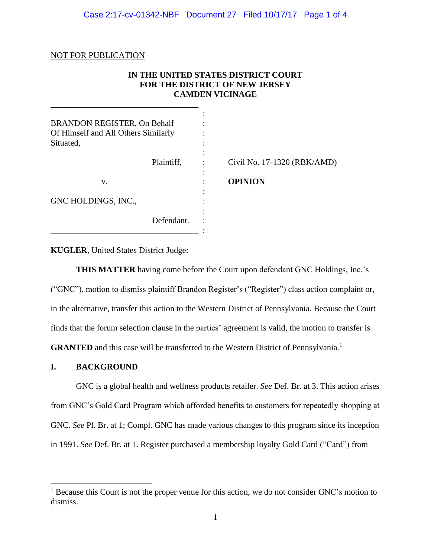## Case 2:17-cv-01342-NBF Document 27 Filed 10/17/17 Page 1 of 4

### NOT FOR PUBLICATION

## **IN THE UNITED STATES DISTRICT COURT FOR THE DISTRICT OF NEW JERSEY CAMDEN VICINAGE**

| <b>BRANDON REGISTER, On Behalf</b><br>Of Himself and All Others Similarly<br>Situated, |                             |
|----------------------------------------------------------------------------------------|-----------------------------|
| Plaintiff,                                                                             | Civil No. 17-1320 (RBK/AMD) |
| v.                                                                                     | <b>OPINION</b>              |
| GNC HOLDINGS, INC.,                                                                    |                             |
| Defendant.                                                                             |                             |

**KUGLER**, United States District Judge:

\_\_\_\_\_\_\_\_\_\_\_\_\_\_\_\_\_\_\_\_\_\_\_\_\_\_\_\_\_\_\_\_\_\_\_

**THIS MATTER** having come before the Court upon defendant GNC Holdings, Inc.'s ("GNC"), motion to dismiss plaintiff Brandon Register's ("Register") class action complaint or, in the alternative, transfer this action to the Western District of Pennsylvania. Because the Court finds that the forum selection clause in the parties' agreement is valid, the motion to transfer is GRANTED and this case will be transferred to the Western District of Pennsylvania.<sup>1</sup>

### **I. BACKGROUND**

 $\overline{\phantom{a}}$ 

GNC is a global health and wellness products retailer. *See* Def. Br. at 3. This action arises from GNC's Gold Card Program which afforded benefits to customers for repeatedly shopping at GNC. *See* Pl. Br. at 1; Compl. GNC has made various changes to this program since its inception in 1991. *See* Def. Br. at 1. Register purchased a membership loyalty Gold Card ("Card") from

<sup>&</sup>lt;sup>1</sup> Because this Court is not the proper venue for this action, we do not consider GNC's motion to dismiss.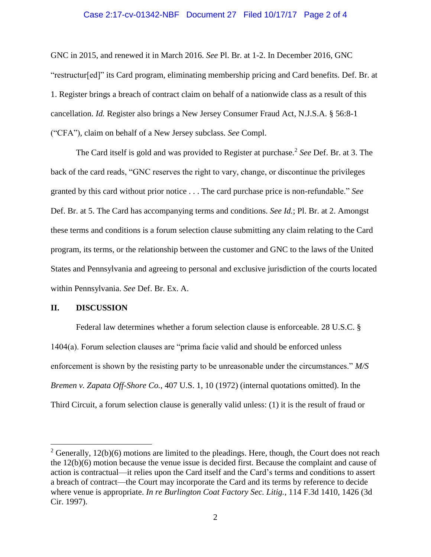#### Case 2:17-cv-01342-NBF Document 27 Filed 10/17/17 Page 2 of 4

GNC in 2015, and renewed it in March 2016. *See* Pl. Br. at 1-2. In December 2016, GNC "restructur[ed]" its Card program, eliminating membership pricing and Card benefits. Def. Br. at 1. Register brings a breach of contract claim on behalf of a nationwide class as a result of this cancellation. *Id.* Register also brings a New Jersey Consumer Fraud Act, N.J.S.A. § 56:8-1 ("CFA"), claim on behalf of a New Jersey subclass. *See* Compl.

The Card itself is gold and was provided to Register at purchase.<sup>2</sup> See Def. Br. at 3. The back of the card reads, "GNC reserves the right to vary, change, or discontinue the privileges granted by this card without prior notice . . . The card purchase price is non-refundable." *See* Def. Br. at 5. The Card has accompanying terms and conditions. *See Id.*; Pl. Br. at 2. Amongst these terms and conditions is a forum selection clause submitting any claim relating to the Card program, its terms, or the relationship between the customer and GNC to the laws of the United States and Pennsylvania and agreeing to personal and exclusive jurisdiction of the courts located within Pennsylvania. *See* Def. Br. Ex. A.

#### **II. DISCUSSION**

 $\overline{\phantom{a}}$ 

Federal law determines whether a forum selection clause is enforceable. 28 U.S.C. § 1404(a). Forum selection clauses are "prima facie valid and should be enforced unless enforcement is shown by the resisting party to be unreasonable under the circumstances." *M/S Bremen v. Zapata Off-Shore Co.*, 407 U.S. 1, 10 (1972) (internal quotations omitted). In the Third Circuit, a forum selection clause is generally valid unless: (1) it is the result of fraud or

<sup>&</sup>lt;sup>2</sup> Generally,  $12(b)(6)$  motions are limited to the pleadings. Here, though, the Court does not reach the 12(b)(6) motion because the venue issue is decided first. Because the complaint and cause of action is contractual—it relies upon the Card itself and the Card's terms and conditions to assert a breach of contract—the Court may incorporate the Card and its terms by reference to decide where venue is appropriate. *In re Burlington Coat Factory Sec. Litig.*, 114 F.3d 1410, 1426 (3d Cir. 1997).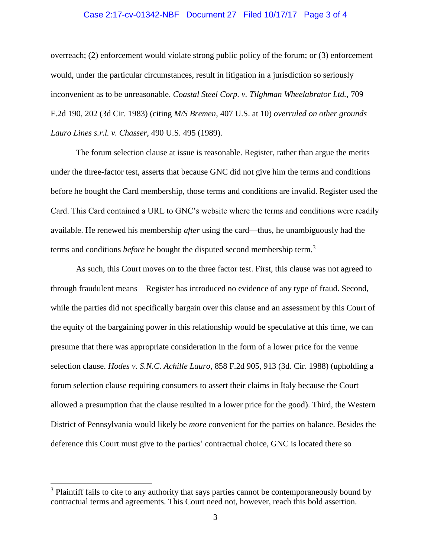# Case 2:17-cv-01342-NBF Document 27 Filed 10/17/17 Page 3 of 4

overreach; (2) enforcement would violate strong public policy of the forum; or (3) enforcement would, under the particular circumstances, result in litigation in a jurisdiction so seriously inconvenient as to be unreasonable. *Coastal Steel Corp. v. Tilghman Wheelabrator Ltd.*, 709 F.2d 190, 202 (3d Cir. 1983) (citing *M/S Bremen*, 407 U.S. at 10) *overruled on other grounds Lauro Lines s.r.l. v. Chasser*, 490 U.S. 495 (1989).

The forum selection clause at issue is reasonable. Register, rather than argue the merits under the three-factor test, asserts that because GNC did not give him the terms and conditions before he bought the Card membership, those terms and conditions are invalid. Register used the Card. This Card contained a URL to GNC's website where the terms and conditions were readily available. He renewed his membership *after* using the card—thus, he unambiguously had the terms and conditions *before* he bought the disputed second membership term.<sup>3</sup>

As such, this Court moves on to the three factor test. First, this clause was not agreed to through fraudulent means—Register has introduced no evidence of any type of fraud. Second, while the parties did not specifically bargain over this clause and an assessment by this Court of the equity of the bargaining power in this relationship would be speculative at this time, we can presume that there was appropriate consideration in the form of a lower price for the venue selection clause. *Hodes v. S.N.C. Achille Lauro*, 858 F.2d 905, 913 (3d. Cir. 1988) (upholding a forum selection clause requiring consumers to assert their claims in Italy because the Court allowed a presumption that the clause resulted in a lower price for the good). Third, the Western District of Pennsylvania would likely be *more* convenient for the parties on balance. Besides the deference this Court must give to the parties' contractual choice, GNC is located there so

 $\overline{\phantom{a}}$ 

<sup>&</sup>lt;sup>3</sup> Plaintiff fails to cite to any authority that says parties cannot be contemporaneously bound by contractual terms and agreements. This Court need not, however, reach this bold assertion.